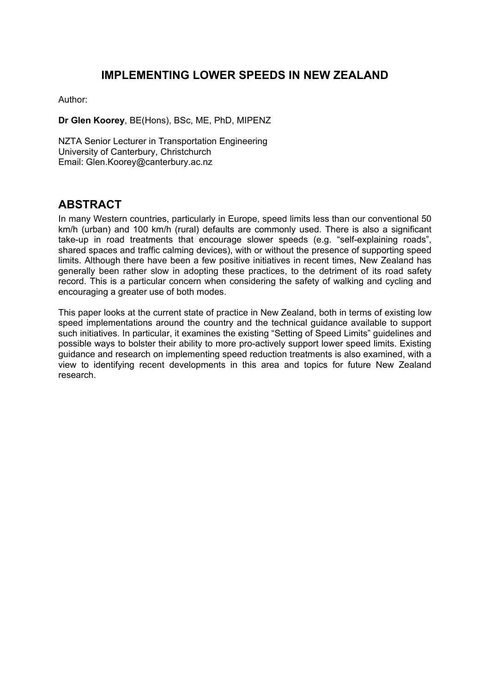# **IMPLEMENTING LOWER SPEEDS IN NEW ZEALAND**

Author:

**Dr Glen Koorey**, BE(Hons), BSc, ME, PhD, MIPENZ

NZTA Senior Lecturer in Transportation Engineering University of Canterbury, Christchurch Email: Glen.Koorey@canterbury.ac.nz

### **ABSTRACT**

In many Western countries, particularly in Europe, speed limits less than our conventional 50 km/h (urban) and 100 km/h (rural) defaults are commonly used. There is also a significant take-up in road treatments that encourage slower speeds (e.g. "self-explaining roads", shared spaces and traffic calming devices), with or without the presence of supporting speed limits. Although there have been a few positive initiatives in recent times, New Zealand has generally been rather slow in adopting these practices, to the detriment of its road safety record. This is a particular concern when considering the safety of walking and cycling and encouraging a greater use of both modes.

This paper looks at the current state of practice in New Zealand, both in terms of existing low speed implementations around the country and the technical guidance available to support such initiatives. In particular, it examines the existing "Setting of Speed Limits" guidelines and possible ways to bolster their ability to more pro-actively support lower speed limits. Existing guidance and research on implementing speed reduction treatments is also examined, with a view to identifying recent developments in this area and topics for future New Zealand research.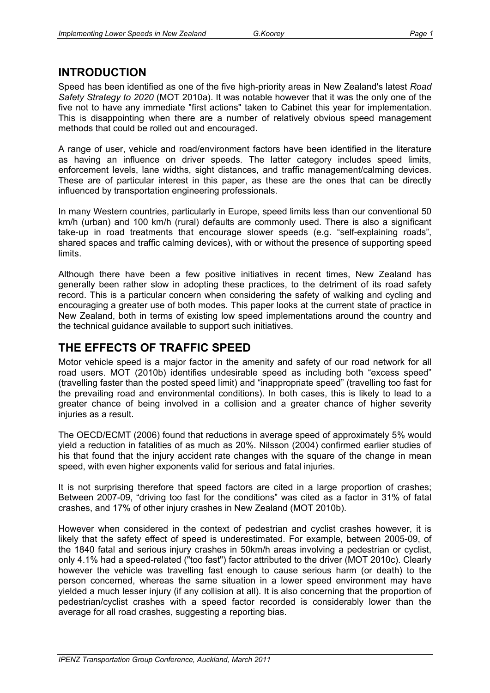# **INTRODUCTION**

Speed has been identified as one of the five high-priority areas in New Zealand's latest *Road Safety Strategy to 2020* (MOT 2010a). It was notable however that it was the only one of the five not to have any immediate "first actions" taken to Cabinet this year for implementation. This is disappointing when there are a number of relatively obvious speed management methods that could be rolled out and encouraged.

A range of user, vehicle and road/environment factors have been identified in the literature as having an influence on driver speeds. The latter category includes speed limits, enforcement levels, lane widths, sight distances, and traffic management/calming devices. These are of particular interest in this paper, as these are the ones that can be directly influenced by transportation engineering professionals.

In many Western countries, particularly in Europe, speed limits less than our conventional 50 km/h (urban) and 100 km/h (rural) defaults are commonly used. There is also a significant take-up in road treatments that encourage slower speeds (e.g. "self-explaining roads", shared spaces and traffic calming devices), with or without the presence of supporting speed limits.

Although there have been a few positive initiatives in recent times, New Zealand has generally been rather slow in adopting these practices, to the detriment of its road safety record. This is a particular concern when considering the safety of walking and cycling and encouraging a greater use of both modes. This paper looks at the current state of practice in New Zealand, both in terms of existing low speed implementations around the country and the technical guidance available to support such initiatives.

# **THE EFFECTS OF TRAFFIC SPEED**

Motor vehicle speed is a major factor in the amenity and safety of our road network for all road users. MOT (2010b) identifies undesirable speed as including both "excess speed" (travelling faster than the posted speed limit) and "inappropriate speed" (travelling too fast for the prevailing road and environmental conditions). In both cases, this is likely to lead to a greater chance of being involved in a collision and a greater chance of higher severity injuries as a result.

The OECD/ECMT (2006) found that reductions in average speed of approximately 5% would yield a reduction in fatalities of as much as 20%. Nilsson (2004) confirmed earlier studies of his that found that the injury accident rate changes with the square of the change in mean speed, with even higher exponents valid for serious and fatal injuries.

It is not surprising therefore that speed factors are cited in a large proportion of crashes; Between 2007-09, "driving too fast for the conditions" was cited as a factor in 31% of fatal crashes, and 17% of other injury crashes in New Zealand (MOT 2010b).

However when considered in the context of pedestrian and cyclist crashes however, it is likely that the safety effect of speed is underestimated. For example, between 2005-09, of the 1840 fatal and serious injury crashes in 50km/h areas involving a pedestrian or cyclist, only 4.1% had a speed-related ("too fast") factor attributed to the driver (MOT 2010c). Clearly however the vehicle was travelling fast enough to cause serious harm (or death) to the person concerned, whereas the same situation in a lower speed environment may have yielded a much lesser injury (if any collision at all). It is also concerning that the proportion of pedestrian/cyclist crashes with a speed factor recorded is considerably lower than the average for all road crashes, suggesting a reporting bias.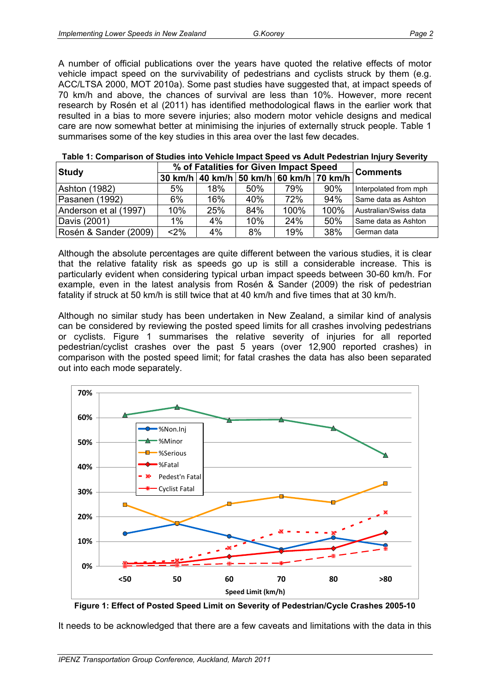A number of official publications over the years have quoted the relative effects of motor vehicle impact speed on the survivability of pedestrians and cyclists struck by them (e.g. ACC/LTSA 2000, MOT 2010a). Some past studies have suggested that, at impact speeds of 70 km/h and above, the chances of survival are less than 10%. However, more recent research by Rosén et al (2011) has identified methodological flaws in the earlier work that resulted in a bias to more severe injuries; also modern motor vehicle designs and medical care are now somewhat better at minimising the injuries of externally struck people. Table 1 summarises some of the key studies in this area over the last few decades.

| <b>Study</b>          |     | % of Fatalities for Given Impact Speed          | <b>Comments</b> |      |      |                       |  |
|-----------------------|-----|-------------------------------------------------|-----------------|------|------|-----------------------|--|
|                       |     | 30 km/h   40 km/h   50 km/h   60 km/h   70 km/h |                 |      |      |                       |  |
| <b>Ashton (1982)</b>  | 5%  | 18%                                             | 50%             | 79%  | 90%  | Interpolated from mph |  |
| Pasanen (1992)        | 6%  | 16%                                             | 40%             | 72%  | 94%  | Same data as Ashton   |  |
| Anderson et al (1997) | 10% | 25%                                             | 84%             | 100% | 100% | Australian/Swiss data |  |
| Davis (2001)          | 1%  | $4\%$                                           | 10%             | 24%  | 50%  | Same data as Ashton   |  |
| Rosén & Sander (2009) | <2% | 4%                                              | 8%              | 19%  | 38%  | German data           |  |

| Table 1: Comparison of Studies into Vehicle Impact Speed vs Adult Pedestrian Injury Severity |  |  |  |
|----------------------------------------------------------------------------------------------|--|--|--|
|                                                                                              |  |  |  |

Although the absolute percentages are quite different between the various studies, it is clear that the relative fatality risk as speeds go up is still a considerable increase. This is particularly evident when considering typical urban impact speeds between 30-60 km/h. For example, even in the latest analysis from Rosén & Sander (2009) the risk of pedestrian fatality if struck at 50 km/h is still twice that at 40 km/h and five times that at 30 km/h.

Although no similar study has been undertaken in New Zealand, a similar kind of analysis can be considered by reviewing the posted speed limits for all crashes involving pedestrians or cyclists. Figure 1 summarises the relative severity of injuries for all reported pedestrian/cyclist crashes over the past 5 years (over 12,900 reported crashes) in comparison with the posted speed limit; for fatal crashes the data has also been separated out into each mode separately.





It needs to be acknowledged that there are a few caveats and limitations with the data in this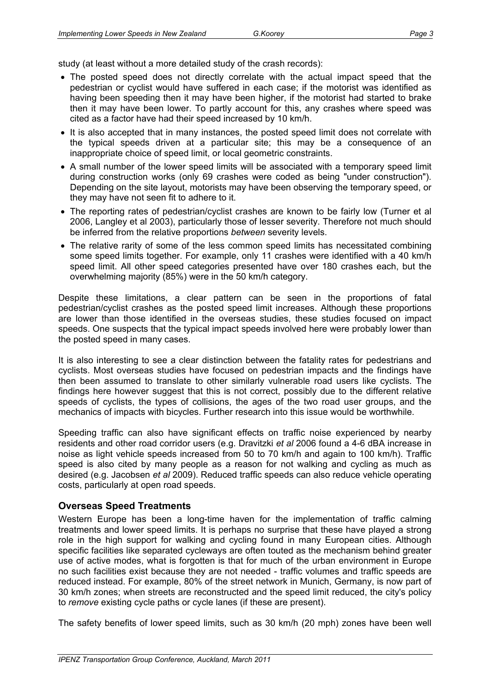study (at least without a more detailed study of the crash records):

- The posted speed does not directly correlate with the actual impact speed that the pedestrian or cyclist would have suffered in each case; if the motorist was identified as having been speeding then it may have been higher, if the motorist had started to brake then it may have been lower. To partly account for this, any crashes where speed was cited as a factor have had their speed increased by 10 km/h.
- It is also accepted that in many instances, the posted speed limit does not correlate with the typical speeds driven at a particular site; this may be a consequence of an inappropriate choice of speed limit, or local geometric constraints.
- A small number of the lower speed limits will be associated with a temporary speed limit during construction works (only 69 crashes were coded as being "under construction"). Depending on the site layout, motorists may have been observing the temporary speed, or they may have not seen fit to adhere to it.
- The reporting rates of pedestrian/cyclist crashes are known to be fairly low (Turner et al 2006, Langley et al 2003), particularly those of lesser severity. Therefore not much should be inferred from the relative proportions *between* severity levels.
- The relative rarity of some of the less common speed limits has necessitated combining some speed limits together. For example, only 11 crashes were identified with a 40 km/h speed limit. All other speed categories presented have over 180 crashes each, but the overwhelming majority (85%) were in the 50 km/h category.

Despite these limitations, a clear pattern can be seen in the proportions of fatal pedestrian/cyclist crashes as the posted speed limit increases. Although these proportions are lower than those identified in the overseas studies, these studies focused on impact speeds. One suspects that the typical impact speeds involved here were probably lower than the posted speed in many cases.

It is also interesting to see a clear distinction between the fatality rates for pedestrians and cyclists. Most overseas studies have focused on pedestrian impacts and the findings have then been assumed to translate to other similarly vulnerable road users like cyclists. The findings here however suggest that this is not correct, possibly due to the different relative speeds of cyclists, the types of collisions, the ages of the two road user groups, and the mechanics of impacts with bicycles. Further research into this issue would be worthwhile.

Speeding traffic can also have significant effects on traffic noise experienced by nearby residents and other road corridor users (e.g. Dravitzki *et al* 2006 found a 4-6 dBA increase in noise as light vehicle speeds increased from 50 to 70 km/h and again to 100 km/h). Traffic speed is also cited by many people as a reason for not walking and cycling as much as desired (e.g. Jacobsen *et al* 2009). Reduced traffic speeds can also reduce vehicle operating costs, particularly at open road speeds.

#### **Overseas Speed Treatments**

Western Europe has been a long-time haven for the implementation of traffic calming treatments and lower speed limits. It is perhaps no surprise that these have played a strong role in the high support for walking and cycling found in many European cities. Although specific facilities like separated cycleways are often touted as the mechanism behind greater use of active modes, what is forgotten is that for much of the urban environment in Europe no such facilities exist because they are not needed - traffic volumes and traffic speeds are reduced instead. For example, 80% of the street network in Munich, Germany, is now part of 30 km/h zones; when streets are reconstructed and the speed limit reduced, the city's policy to *remove* existing cycle paths or cycle lanes (if these are present).

The safety benefits of lower speed limits, such as 30 km/h (20 mph) zones have been well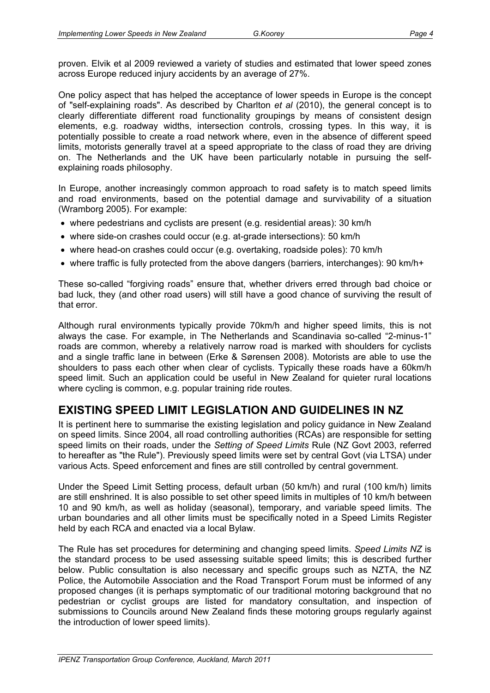proven. Elvik et al 2009 reviewed a variety of studies and estimated that lower speed zones across Europe reduced injury accidents by an average of 27%.

One policy aspect that has helped the acceptance of lower speeds in Europe is the concept of "self-explaining roads". As described by Charlton *et al* (2010), the general concept is to clearly differentiate different road functionality groupings by means of consistent design elements, e.g. roadway widths, intersection controls, crossing types. In this way, it is potentially possible to create a road network where, even in the absence of different speed limits, motorists generally travel at a speed appropriate to the class of road they are driving on. The Netherlands and the UK have been particularly notable in pursuing the selfexplaining roads philosophy.

In Europe, another increasingly common approach to road safety is to match speed limits and road environments, based on the potential damage and survivability of a situation (Wramborg 2005). For example:

- where pedestrians and cyclists are present (e.g. residential areas): 30 km/h
- where side-on crashes could occur (e.g. at-grade intersections): 50 km/h
- where head-on crashes could occur (e.g. overtaking, roadside poles): 70 km/h
- where traffic is fully protected from the above dangers (barriers, interchanges): 90 km/h+

These so-called "forgiving roads" ensure that, whether drivers erred through bad choice or bad luck, they (and other road users) will still have a good chance of surviving the result of that error.

Although rural environments typically provide 70km/h and higher speed limits, this is not always the case. For example, in The Netherlands and Scandinavia so-called "2-minus-1" roads are common, whereby a relatively narrow road is marked with shoulders for cyclists and a single traffic lane in between (Erke & Sørensen 2008). Motorists are able to use the shoulders to pass each other when clear of cyclists. Typically these roads have a 60km/h speed limit. Such an application could be useful in New Zealand for quieter rural locations where cycling is common, e.g. popular training ride routes.

# **EXISTING SPEED LIMIT LEGISLATION AND GUIDELINES IN NZ**

It is pertinent here to summarise the existing legislation and policy guidance in New Zealand on speed limits. Since 2004, all road controlling authorities (RCAs) are responsible for setting speed limits on their roads, under the *Setting of Speed Limits* Rule (NZ Govt 2003, referred to hereafter as "the Rule"). Previously speed limits were set by central Govt (via LTSA) under various Acts. Speed enforcement and fines are still controlled by central government.

Under the Speed Limit Setting process, default urban (50 km/h) and rural (100 km/h) limits are still enshrined. It is also possible to set other speed limits in multiples of 10 km/h between 10 and 90 km/h, as well as holiday (seasonal), temporary, and variable speed limits. The urban boundaries and all other limits must be specifically noted in a Speed Limits Register held by each RCA and enacted via a local Bylaw.

The Rule has set procedures for determining and changing speed limits. *Speed Limits NZ* is the standard process to be used assessing suitable speed limits; this is described further below. Public consultation is also necessary and specific groups such as NZTA, the NZ Police, the Automobile Association and the Road Transport Forum must be informed of any proposed changes (it is perhaps symptomatic of our traditional motoring background that no pedestrian or cyclist groups are listed for mandatory consultation, and inspection of submissions to Councils around New Zealand finds these motoring groups regularly against the introduction of lower speed limits).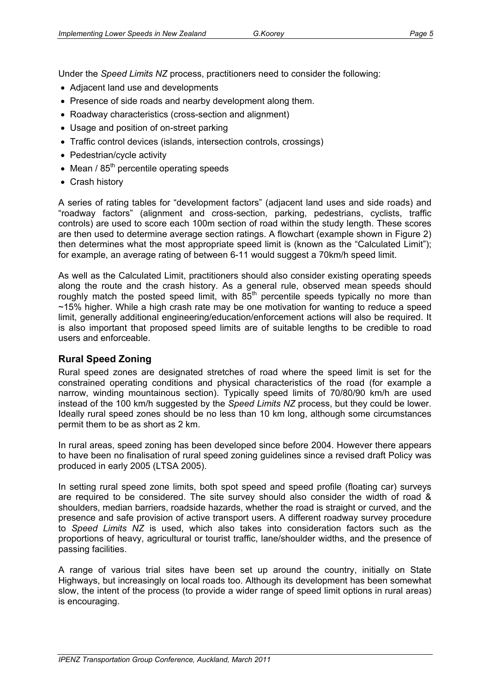Under the *Speed Limits NZ* process, practitioners need to consider the following:

- Adjacent land use and developments
- Presence of side roads and nearby development along them.
- Roadway characteristics (cross-section and alignment)
- Usage and position of on-street parking
- Traffic control devices (islands, intersection controls, crossings)
- Pedestrian/cycle activity
- Mean  $/85<sup>th</sup>$  percentile operating speeds
- Crash history

A series of rating tables for "development factors" (adjacent land uses and side roads) and "roadway factors" (alignment and cross-section, parking, pedestrians, cyclists, traffic controls) are used to score each 100m section of road within the study length. These scores are then used to determine average section ratings. A flowchart (example shown in Figure 2) then determines what the most appropriate speed limit is (known as the "Calculated Limit"); for example, an average rating of between 6-11 would suggest a 70km/h speed limit.

As well as the Calculated Limit, practitioners should also consider existing operating speeds along the route and the crash history. As a general rule, observed mean speeds should roughly match the posted speed limit, with  $85<sup>th</sup>$  percentile speeds typically no more than  $~15\%$  higher. While a high crash rate may be one motivation for wanting to reduce a speed limit, generally additional engineering/education/enforcement actions will also be required. It is also important that proposed speed limits are of suitable lengths to be credible to road users and enforceable.

#### **Rural Speed Zoning**

Rural speed zones are designated stretches of road where the speed limit is set for the constrained operating conditions and physical characteristics of the road (for example a narrow, winding mountainous section). Typically speed limits of 70/80/90 km/h are used instead of the 100 km/h suggested by the *Speed Limits NZ* process, but they could be lower. Ideally rural speed zones should be no less than 10 km long, although some circumstances permit them to be as short as 2 km.

In rural areas, speed zoning has been developed since before 2004. However there appears to have been no finalisation of rural speed zoning guidelines since a revised draft Policy was produced in early 2005 (LTSA 2005).

In setting rural speed zone limits, both spot speed and speed profile (floating car) surveys are required to be considered. The site survey should also consider the width of road & shoulders, median barriers, roadside hazards, whether the road is straight or curved, and the presence and safe provision of active transport users. A different roadway survey procedure to *Speed Limits NZ* is used, which also takes into consideration factors such as the proportions of heavy, agricultural or tourist traffic, lane/shoulder widths, and the presence of passing facilities.

A range of various trial sites have been set up around the country, initially on State Highways, but increasingly on local roads too. Although its development has been somewhat slow, the intent of the process (to provide a wider range of speed limit options in rural areas) is encouraging.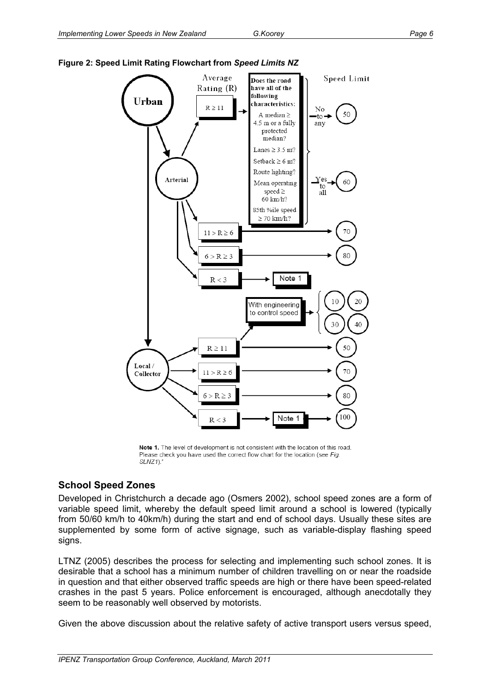

#### **Figure 2: Speed Limit Rating Flowchart from** *Speed Limits NZ*

Note 1. The level of development is not consistent with the location of this road. Please check you have used the correct flow chart for the location (see Fig.  $SLNZ1$ .

#### **School Speed Zones**

Developed in Christchurch a decade ago (Osmers 2002), school speed zones are a form of variable speed limit, whereby the default speed limit around a school is lowered (typically from 50/60 km/h to 40km/h) during the start and end of school days. Usually these sites are supplemented by some form of active signage, such as variable-display flashing speed signs.

LTNZ (2005) describes the process for selecting and implementing such school zones. It is desirable that a school has a minimum number of children travelling on or near the roadside in question and that either observed traffic speeds are high or there have been speed-related crashes in the past 5 years. Police enforcement is encouraged, although anecdotally they seem to be reasonably well observed by motorists.

Given the above discussion about the relative safety of active transport users versus speed,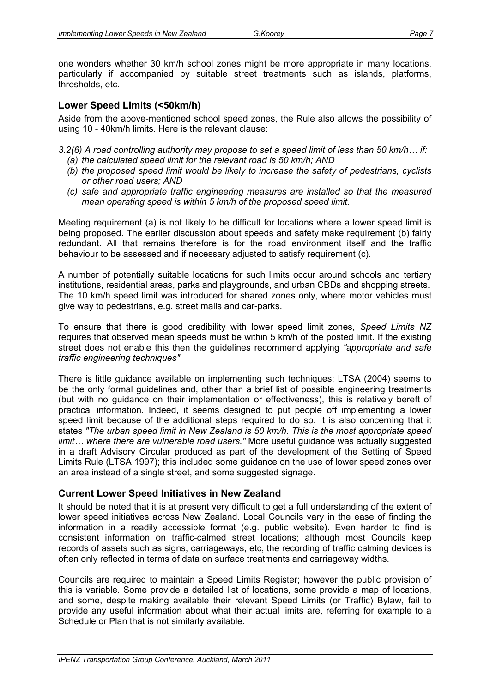one wonders whether 30 km/h school zones might be more appropriate in many locations, particularly if accompanied by suitable street treatments such as islands, platforms, thresholds, etc.

#### **Lower Speed Limits (<50km/h)**

Aside from the above-mentioned school speed zones, the Rule also allows the possibility of using 10 - 40km/h limits. Here is the relevant clause:

*3.2(6) A road controlling authority may propose to set a speed limit of less than 50 km/h… if:* 

- *(a) the calculated speed limit for the relevant road is 50 km/h; AND*
- *(b) the proposed speed limit would be likely to increase the safety of pedestrians, cyclists or other road users; AND*
- *(c) safe and appropriate traffic engineering measures are installed so that the measured mean operating speed is within 5 km/h of the proposed speed limit.*

Meeting requirement (a) is not likely to be difficult for locations where a lower speed limit is being proposed. The earlier discussion about speeds and safety make requirement (b) fairly redundant. All that remains therefore is for the road environment itself and the traffic behaviour to be assessed and if necessary adjusted to satisfy requirement (c).

A number of potentially suitable locations for such limits occur around schools and tertiary institutions, residential areas, parks and playgrounds, and urban CBDs and shopping streets. The 10 km/h speed limit was introduced for shared zones only, where motor vehicles must give way to pedestrians, e.g. street malls and car-parks.

To ensure that there is good credibility with lower speed limit zones, *Speed Limits NZ* requires that observed mean speeds must be within 5 km/h of the posted limit. If the existing street does not enable this then the guidelines recommend applying *"appropriate and safe traffic engineering techniques"*.

There is little guidance available on implementing such techniques; LTSA (2004) seems to be the only formal guidelines and, other than a brief list of possible engineering treatments (but with no guidance on their implementation or effectiveness), this is relatively bereft of practical information. Indeed, it seems designed to put people off implementing a lower speed limit because of the additional steps required to do so. It is also concerning that it states *"The urban speed limit in New Zealand is 50 km/h. This is the most appropriate speed limit… where there are vulnerable road users."* More useful guidance was actually suggested in a draft Advisory Circular produced as part of the development of the Setting of Speed Limits Rule (LTSA 1997); this included some guidance on the use of lower speed zones over an area instead of a single street, and some suggested signage.

### **Current Lower Speed Initiatives in New Zealand**

It should be noted that it is at present very difficult to get a full understanding of the extent of lower speed initiatives across New Zealand. Local Councils vary in the ease of finding the information in a readily accessible format (e.g. public website). Even harder to find is consistent information on traffic-calmed street locations; although most Councils keep records of assets such as signs, carriageways, etc, the recording of traffic calming devices is often only reflected in terms of data on surface treatments and carriageway widths.

Councils are required to maintain a Speed Limits Register; however the public provision of this is variable. Some provide a detailed list of locations, some provide a map of locations, and some, despite making available their relevant Speed Limits (or Traffic) Bylaw, fail to provide any useful information about what their actual limits are, referring for example to a Schedule or Plan that is not similarly available.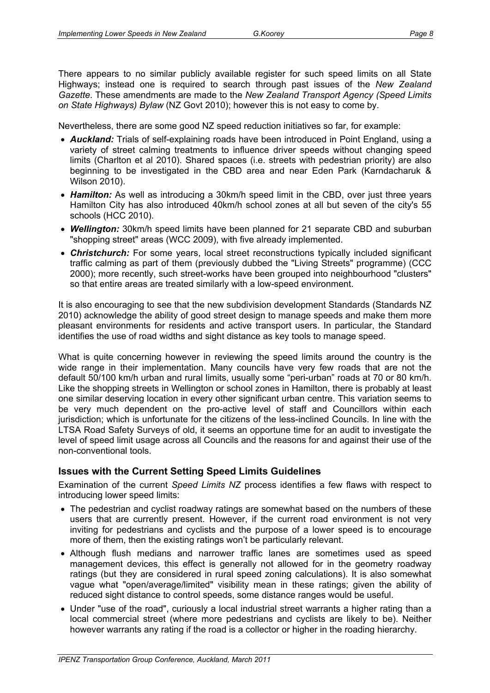There appears to no similar publicly available register for such speed limits on all State Highways; instead one is required to search through past issues of the *New Zealand Gazette*. These amendments are made to the *New Zealand Transport Agency (Speed Limits on State Highways) Bylaw* (NZ Govt 2010); however this is not easy to come by.

Nevertheless, there are some good NZ speed reduction initiatives so far, for example:

- *Auckland:* Trials of self-explaining roads have been introduced in Point England, using a variety of street calming treatments to influence driver speeds without changing speed limits (Charlton et al 2010). Shared spaces (i.e. streets with pedestrian priority) are also beginning to be investigated in the CBD area and near Eden Park (Karndacharuk & Wilson 2010).
- **Hamilton:** As well as introducing a 30km/h speed limit in the CBD, over just three years Hamilton City has also introduced 40km/h school zones at all but seven of the city's 55 schools (HCC 2010).
- *Wellington:* 30km/h speed limits have been planned for 21 separate CBD and suburban "shopping street" areas (WCC 2009), with five already implemented.
- *Christchurch:* For some years, local street reconstructions typically included significant traffic calming as part of them (previously dubbed the "Living Streets" programme) (CCC 2000); more recently, such street-works have been grouped into neighbourhood "clusters" so that entire areas are treated similarly with a low-speed environment.

It is also encouraging to see that the new subdivision development Standards (Standards NZ 2010) acknowledge the ability of good street design to manage speeds and make them more pleasant environments for residents and active transport users. In particular, the Standard identifies the use of road widths and sight distance as key tools to manage speed.

What is quite concerning however in reviewing the speed limits around the country is the wide range in their implementation. Many councils have very few roads that are not the default 50/100 km/h urban and rural limits, usually some "peri-urban" roads at 70 or 80 km/h. Like the shopping streets in Wellington or school zones in Hamilton, there is probably at least one similar deserving location in every other significant urban centre. This variation seems to be very much dependent on the pro-active level of staff and Councillors within each jurisdiction; which is unfortunate for the citizens of the less-inclined Councils. In line with the LTSA Road Safety Surveys of old, it seems an opportune time for an audit to investigate the level of speed limit usage across all Councils and the reasons for and against their use of the non-conventional tools.

### **Issues with the Current Setting Speed Limits Guidelines**

Examination of the current *Speed Limits NZ* process identifies a few flaws with respect to introducing lower speed limits:

- The pedestrian and cyclist roadway ratings are somewhat based on the numbers of these users that are currently present. However, if the current road environment is not very inviting for pedestrians and cyclists and the purpose of a lower speed is to encourage more of them, then the existing ratings won't be particularly relevant.
- Although flush medians and narrower traffic lanes are sometimes used as speed management devices, this effect is generally not allowed for in the geometry roadway ratings (but they are considered in rural speed zoning calculations). It is also somewhat vague what "open/average/limited" visibility mean in these ratings; given the ability of reduced sight distance to control speeds, some distance ranges would be useful.
- Under "use of the road", curiously a local industrial street warrants a higher rating than a local commercial street (where more pedestrians and cyclists are likely to be). Neither however warrants any rating if the road is a collector or higher in the roading hierarchy.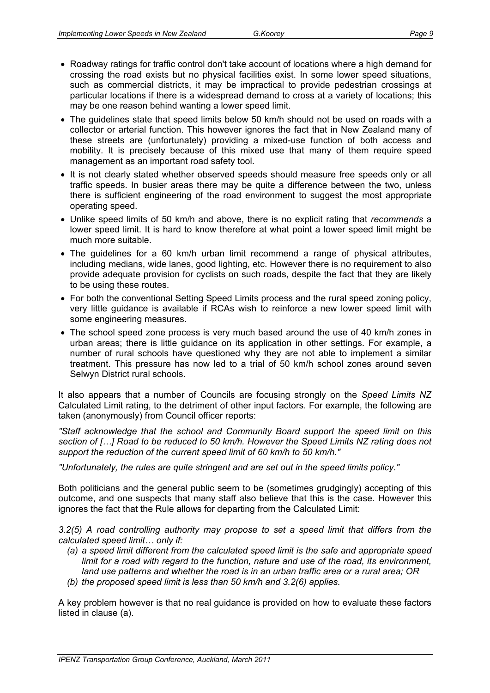- 
- Roadway ratings for traffic control don't take account of locations where a high demand for crossing the road exists but no physical facilities exist. In some lower speed situations, such as commercial districts, it may be impractical to provide pedestrian crossings at particular locations if there is a widespread demand to cross at a variety of locations; this may be one reason behind wanting a lower speed limit.
- The guidelines state that speed limits below 50 km/h should not be used on roads with a collector or arterial function. This however ignores the fact that in New Zealand many of these streets are (unfortunately) providing a mixed-use function of both access and mobility. It is precisely because of this mixed use that many of them require speed management as an important road safety tool.
- It is not clearly stated whether observed speeds should measure free speeds only or all traffic speeds. In busier areas there may be quite a difference between the two, unless there is sufficient engineering of the road environment to suggest the most appropriate operating speed.
- Unlike speed limits of 50 km/h and above, there is no explicit rating that *recommends* a lower speed limit. It is hard to know therefore at what point a lower speed limit might be much more suitable.
- The guidelines for a 60 km/h urban limit recommend a range of physical attributes, including medians, wide lanes, good lighting, etc. However there is no requirement to also provide adequate provision for cyclists on such roads, despite the fact that they are likely to be using these routes.
- For both the conventional Setting Speed Limits process and the rural speed zoning policy, very little guidance is available if RCAs wish to reinforce a new lower speed limit with some engineering measures.
- The school speed zone process is very much based around the use of 40 km/h zones in urban areas; there is little guidance on its application in other settings. For example, a number of rural schools have questioned why they are not able to implement a similar treatment. This pressure has now led to a trial of 50 km/h school zones around seven Selwyn District rural schools.

It also appears that a number of Councils are focusing strongly on the *Speed Limits NZ* Calculated Limit rating, to the detriment of other input factors. For example, the following are taken (anonymously) from Council officer reports:

*"Staff acknowledge that the school and Community Board support the speed limit on this section of […] Road to be reduced to 50 km/h. However the Speed Limits NZ rating does not support the reduction of the current speed limit of 60 km/h to 50 km/h."* 

*"Unfortunately, the rules are quite stringent and are set out in the speed limits policy."* 

Both politicians and the general public seem to be (sometimes grudgingly) accepting of this outcome, and one suspects that many staff also believe that this is the case. However this ignores the fact that the Rule allows for departing from the Calculated Limit:

*3.2(5) A road controlling authority may propose to set a speed limit that differs from the calculated speed limit… only if:* 

- *(a) a speed limit different from the calculated speed limit is the safe and appropriate speed limit for a road with regard to the function, nature and use of the road, its environment, land use patterns and whether the road is in an urban traffic area or a rural area; OR*
- *(b) the proposed speed limit is less than 50 km/h and 3.2(6) applies.*

A key problem however is that no real guidance is provided on how to evaluate these factors listed in clause (a).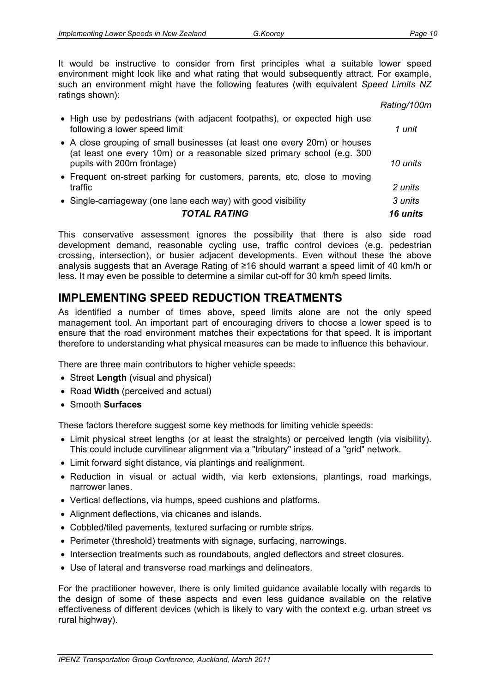It would be instructive to consider from first principles what a suitable lower speed environment might look like and what rating that would subsequently attract. For example, such an environment might have the following features (with equivalent *Speed Limits NZ* ratings shown):

|                                                                                                                                                                                    | Rating/100m |
|------------------------------------------------------------------------------------------------------------------------------------------------------------------------------------|-------------|
| • High use by pedestrians (with adjacent footpaths), or expected high use<br>following a lower speed limit                                                                         | 1 unit      |
| • A close grouping of small businesses (at least one every 20m) or houses<br>(at least one every 10m) or a reasonable sized primary school (e.g. 300<br>pupils with 200m frontage) | 10 units    |
| • Frequent on-street parking for customers, parents, etc, close to moving<br>traffic                                                                                               | 2 units     |
| • Single-carriageway (one lane each way) with good visibility                                                                                                                      | 3 units     |
| <b>TOTAL RATING</b>                                                                                                                                                                | 16 units    |

This conservative assessment ignores the possibility that there is also side road development demand, reasonable cycling use, traffic control devices (e.g. pedestrian crossing, intersection), or busier adjacent developments. Even without these the above analysis suggests that an Average Rating of ≥16 should warrant a speed limit of 40 km/h or less. It may even be possible to determine a similar cut-off for 30 km/h speed limits.

# **IMPLEMENTING SPEED REDUCTION TREATMENTS**

As identified a number of times above, speed limits alone are not the only speed management tool. An important part of encouraging drivers to choose a lower speed is to ensure that the road environment matches their expectations for that speed. It is important therefore to understanding what physical measures can be made to influence this behaviour.

There are three main contributors to higher vehicle speeds:

- Street **Length** (visual and physical)
- Road **Width** (perceived and actual)
- Smooth **Surfaces**

These factors therefore suggest some key methods for limiting vehicle speeds:

- Limit physical street lengths (or at least the straights) or perceived length (via visibility). This could include curvilinear alignment via a "tributary" instead of a "grid" network.
- Limit forward sight distance, via plantings and realignment.
- Reduction in visual or actual width, via kerb extensions, plantings, road markings, narrower lanes.
- Vertical deflections, via humps, speed cushions and platforms.
- Alignment deflections, via chicanes and islands.
- Cobbled/tiled pavements, textured surfacing or rumble strips.
- Perimeter (threshold) treatments with signage, surfacing, narrowings.
- Intersection treatments such as roundabouts, angled deflectors and street closures.
- Use of lateral and transverse road markings and delineators.

For the practitioner however, there is only limited guidance available locally with regards to the design of some of these aspects and even less guidance available on the relative effectiveness of different devices (which is likely to vary with the context e.g. urban street vs rural highway).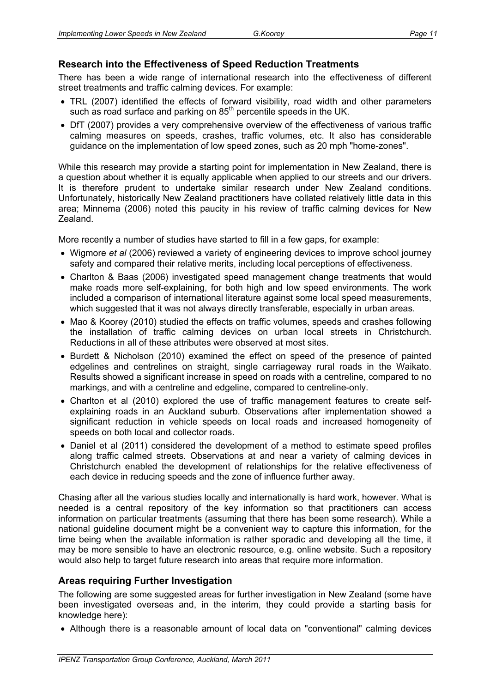#### **Research into the Effectiveness of Speed Reduction Treatments**

There has been a wide range of international research into the effectiveness of different street treatments and traffic calming devices. For example:

- TRL (2007) identified the effects of forward visibility, road width and other parameters such as road surface and parking on 85<sup>th</sup> percentile speeds in the UK.
- DfT (2007) provides a very comprehensive overview of the effectiveness of various traffic calming measures on speeds, crashes, traffic volumes, etc. It also has considerable guidance on the implementation of low speed zones, such as 20 mph "home-zones".

While this research may provide a starting point for implementation in New Zealand, there is a question about whether it is equally applicable when applied to our streets and our drivers. It is therefore prudent to undertake similar research under New Zealand conditions. Unfortunately, historically New Zealand practitioners have collated relatively little data in this area; Minnema (2006) noted this paucity in his review of traffic calming devices for New Zealand.

More recently a number of studies have started to fill in a few gaps, for example:

- Wigmore *et al* (2006) reviewed a variety of engineering devices to improve school journey safety and compared their relative merits, including local perceptions of effectiveness.
- Charlton & Baas (2006) investigated speed management change treatments that would make roads more self-explaining, for both high and low speed environments. The work included a comparison of international literature against some local speed measurements, which suggested that it was not always directly transferable, especially in urban areas.
- Mao & Koorey (2010) studied the effects on traffic volumes, speeds and crashes following the installation of traffic calming devices on urban local streets in Christchurch. Reductions in all of these attributes were observed at most sites.
- Burdett & Nicholson (2010) examined the effect on speed of the presence of painted edgelines and centrelines on straight, single carriageway rural roads in the Waikato. Results showed a significant increase in speed on roads with a centreline, compared to no markings, and with a centreline and edgeline, compared to centreline-only.
- Charlton et al (2010) explored the use of traffic management features to create selfexplaining roads in an Auckland suburb. Observations after implementation showed a significant reduction in vehicle speeds on local roads and increased homogeneity of speeds on both local and collector roads.
- Daniel et al (2011) considered the development of a method to estimate speed profiles along traffic calmed streets. Observations at and near a variety of calming devices in Christchurch enabled the development of relationships for the relative effectiveness of each device in reducing speeds and the zone of influence further away.

Chasing after all the various studies locally and internationally is hard work, however. What is needed is a central repository of the key information so that practitioners can access information on particular treatments (assuming that there has been some research). While a national guideline document might be a convenient way to capture this information, for the time being when the available information is rather sporadic and developing all the time, it may be more sensible to have an electronic resource, e.g. online website. Such a repository would also help to target future research into areas that require more information.

#### **Areas requiring Further Investigation**

The following are some suggested areas for further investigation in New Zealand (some have been investigated overseas and, in the interim, they could provide a starting basis for knowledge here):

• Although there is a reasonable amount of local data on "conventional" calming devices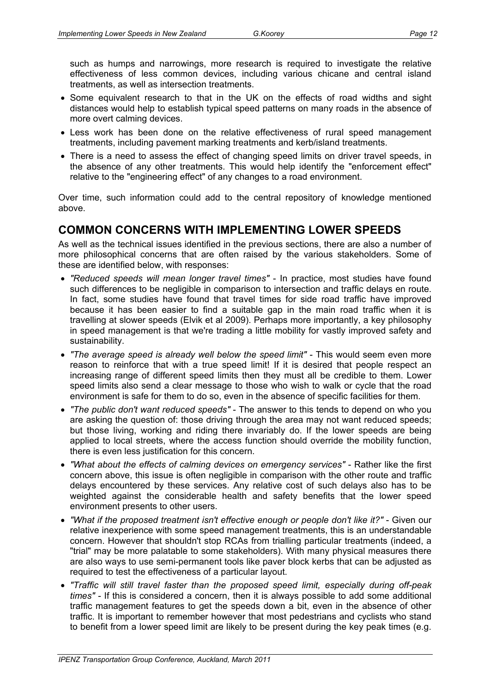such as humps and narrowings, more research is required to investigate the relative effectiveness of less common devices, including various chicane and central island treatments, as well as intersection treatments.

- Some equivalent research to that in the UK on the effects of road widths and sight distances would help to establish typical speed patterns on many roads in the absence of more overt calming devices.
- Less work has been done on the relative effectiveness of rural speed management treatments, including pavement marking treatments and kerb/island treatments.
- There is a need to assess the effect of changing speed limits on driver travel speeds, in the absence of any other treatments. This would help identify the "enforcement effect" relative to the "engineering effect" of any changes to a road environment.

Over time, such information could add to the central repository of knowledge mentioned above.

### **COMMON CONCERNS WITH IMPLEMENTING LOWER SPEEDS**

As well as the technical issues identified in the previous sections, there are also a number of more philosophical concerns that are often raised by the various stakeholders. Some of these are identified below, with responses:

- *"Reduced speeds will mean longer travel times"* In practice, most studies have found such differences to be negligible in comparison to intersection and traffic delays en route. In fact, some studies have found that travel times for side road traffic have improved because it has been easier to find a suitable gap in the main road traffic when it is travelling at slower speeds (Elvik et al 2009). Perhaps more importantly, a key philosophy in speed management is that we're trading a little mobility for vastly improved safety and sustainability.
- *"The average speed is already well below the speed limit"* This would seem even more reason to reinforce that with a true speed limit! If it is desired that people respect an increasing range of different speed limits then they must all be credible to them. Lower speed limits also send a clear message to those who wish to walk or cycle that the road environment is safe for them to do so, even in the absence of specific facilities for them.
- *"The public don't want reduced speeds"* The answer to this tends to depend on who you are asking the question of: those driving through the area may not want reduced speeds; but those living, working and riding there invariably do. If the lower speeds are being applied to local streets, where the access function should override the mobility function, there is even less justification for this concern.
- *"What about the effects of calming devices on emergency services"* Rather like the first concern above, this issue is often negligible in comparison with the other route and traffic delays encountered by these services. Any relative cost of such delays also has to be weighted against the considerable health and safety benefits that the lower speed environment presents to other users.
- *"What if the proposed treatment isn't effective enough or people don't like it?"* Given our relative inexperience with some speed management treatments, this is an understandable concern. However that shouldn't stop RCAs from trialling particular treatments (indeed, a "trial" may be more palatable to some stakeholders). With many physical measures there are also ways to use semi-permanent tools like paver block kerbs that can be adjusted as required to test the effectiveness of a particular layout.
- *"Traffic will still travel faster than the proposed speed limit, especially during off-peak times"* - If this is considered a concern, then it is always possible to add some additional traffic management features to get the speeds down a bit, even in the absence of other traffic. It is important to remember however that most pedestrians and cyclists who stand to benefit from a lower speed limit are likely to be present during the key peak times (e.g.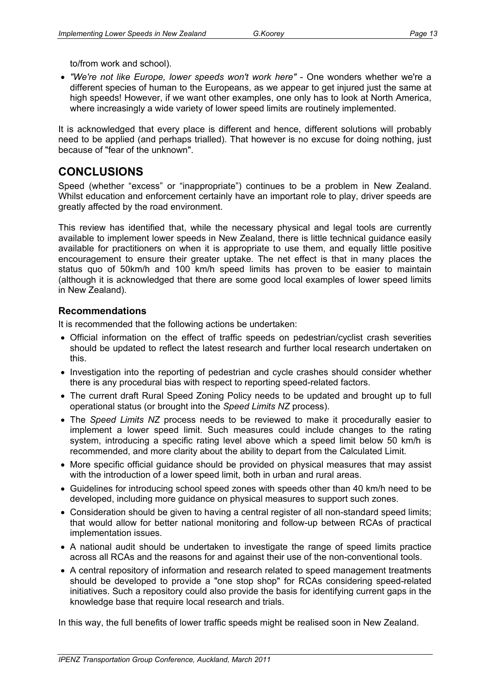to/from work and school).

• *"We're not like Europe, lower speeds won't work here"* - One wonders whether we're a different species of human to the Europeans, as we appear to get injured just the same at high speeds! However, if we want other examples, one only has to look at North America, where increasingly a wide variety of lower speed limits are routinely implemented.

It is acknowledged that every place is different and hence, different solutions will probably need to be applied (and perhaps trialled). That however is no excuse for doing nothing, just because of "fear of the unknown".

## **CONCLUSIONS**

Speed (whether "excess" or "inappropriate") continues to be a problem in New Zealand. Whilst education and enforcement certainly have an important role to play, driver speeds are greatly affected by the road environment.

This review has identified that, while the necessary physical and legal tools are currently available to implement lower speeds in New Zealand, there is little technical guidance easily available for practitioners on when it is appropriate to use them, and equally little positive encouragement to ensure their greater uptake. The net effect is that in many places the status quo of 50km/h and 100 km/h speed limits has proven to be easier to maintain (although it is acknowledged that there are some good local examples of lower speed limits in New Zealand).

#### **Recommendations**

It is recommended that the following actions be undertaken:

- Official information on the effect of traffic speeds on pedestrian/cyclist crash severities should be updated to reflect the latest research and further local research undertaken on this.
- Investigation into the reporting of pedestrian and cycle crashes should consider whether there is any procedural bias with respect to reporting speed-related factors.
- The current draft Rural Speed Zoning Policy needs to be updated and brought up to full operational status (or brought into the *Speed Limits NZ* process).
- The *Speed Limits NZ* process needs to be reviewed to make it procedurally easier to implement a lower speed limit. Such measures could include changes to the rating system, introducing a specific rating level above which a speed limit below 50 km/h is recommended, and more clarity about the ability to depart from the Calculated Limit.
- More specific official guidance should be provided on physical measures that may assist with the introduction of a lower speed limit, both in urban and rural areas.
- Guidelines for introducing school speed zones with speeds other than 40 km/h need to be developed, including more guidance on physical measures to support such zones.
- Consideration should be given to having a central register of all non-standard speed limits; that would allow for better national monitoring and follow-up between RCAs of practical implementation issues.
- A national audit should be undertaken to investigate the range of speed limits practice across all RCAs and the reasons for and against their use of the non-conventional tools.
- A central repository of information and research related to speed management treatments should be developed to provide a "one stop shop" for RCAs considering speed-related initiatives. Such a repository could also provide the basis for identifying current gaps in the knowledge base that require local research and trials.

In this way, the full benefits of lower traffic speeds might be realised soon in New Zealand.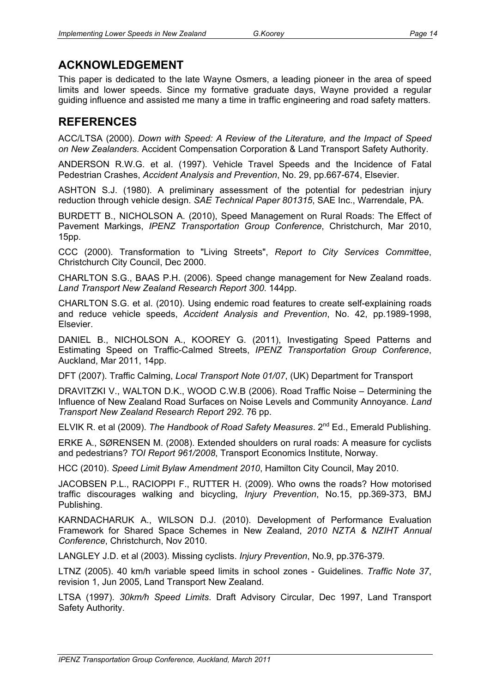# **ACKNOWLEDGEMENT**

This paper is dedicated to the late Wayne Osmers, a leading pioneer in the area of speed limits and lower speeds. Since my formative graduate days, Wayne provided a regular guiding influence and assisted me many a time in traffic engineering and road safety matters.

# **REFERENCES**

ACC/LTSA (2000). *Down with Speed: A Review of the Literature, and the Impact of Speed on New Zealanders.* Accident Compensation Corporation & Land Transport Safety Authority.

ANDERSON R.W.G. et al. (1997). Vehicle Travel Speeds and the Incidence of Fatal Pedestrian Crashes, *Accident Analysis and Prevention*, No. 29, pp.667-674, Elsevier.

ASHTON S.J. (1980). A preliminary assessment of the potential for pedestrian injury reduction through vehicle design. *SAE Technical Paper 801315*, SAE Inc., Warrendale, PA.

BURDETT B., NICHOLSON A. (2010), Speed Management on Rural Roads: The Effect of Pavement Markings, *IPENZ Transportation Group Conference*, Christchurch, Mar 2010, 15pp.

CCC (2000). Transformation to "Living Streets", *Report to City Services Committee*, Christchurch City Council, Dec 2000.

CHARLTON S.G., BAAS P.H. (2006). Speed change management for New Zealand roads. *Land Transport New Zealand Research Report 300*. 144pp.

CHARLTON S.G. et al. (2010). Using endemic road features to create self-explaining roads and reduce vehicle speeds, *Accident Analysis and Prevention*, No. 42, pp.1989-1998, Elsevier.

DANIEL B., NICHOLSON A., KOOREY G. (2011), Investigating Speed Patterns and Estimating Speed on Traffic-Calmed Streets, *IPENZ Transportation Group Conference*, Auckland, Mar 2011, 14pp.

DFT (2007). Traffic Calming, *Local Transport Note 01/07*, (UK) Department for Transport

DRAVITZKI V., WALTON D.K., WOOD C.W.B (2006). Road Traffic Noise – Determining the Influence of New Zealand Road Surfaces on Noise Levels and Community Annoyance. *Land Transport New Zealand Research Report 292*. 76 pp.

ELVIK R. et al (2009). *The Handbook of Road Safety Measures*. 2nd Ed., Emerald Publishing.

ERKE A., SØRENSEN M. (2008). Extended shoulders on rural roads: A measure for cyclists and pedestrians? *TOI Report 961/2008*, Transport Economics Institute, Norway.

HCC (2010). *Speed Limit Bylaw Amendment 2010*, Hamilton City Council, May 2010.

JACOBSEN P.L., RACIOPPI F., RUTTER H. (2009). Who owns the roads? How motorised traffic discourages walking and bicycling, *Injury Prevention*, No.15, pp.369-373, BMJ Publishing.

KARNDACHARUK A., WILSON D.J. (2010). Development of Performance Evaluation Framework for Shared Space Schemes in New Zealand, *2010 NZTA & NZIHT Annual Conference*, Christchurch, Nov 2010.

LANGLEY J.D. et al (2003). Missing cyclists. *Injury Prevention*, No.9, pp.376-379.

LTNZ (2005). 40 km/h variable speed limits in school zones - Guidelines. *Traffic Note 37*, revision 1, Jun 2005, Land Transport New Zealand.

LTSA (1997). *30km/h Speed Limits*. Draft Advisory Circular, Dec 1997, Land Transport Safety Authority.